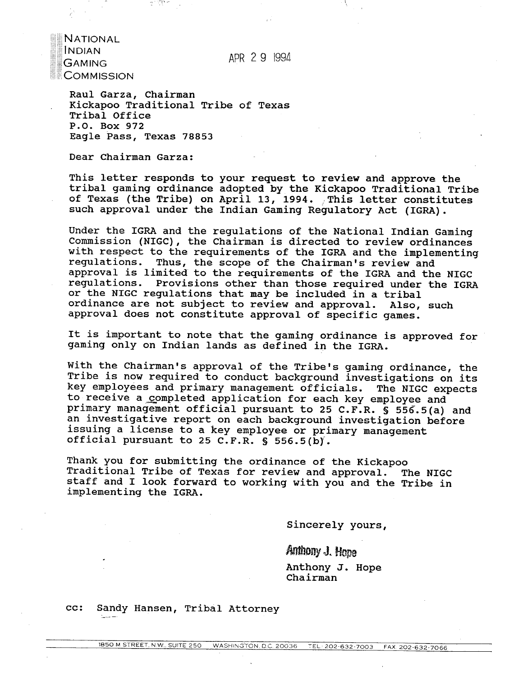APR 2 9 1994

**INDIAN GAMING COMMISSION** 

**NATIONAL** 

Raul Garza, Chairman . Kickapoo Traditional Tribe of Texas Tribal Office P.O. Box 972 Eagle Pass, Texas 78853

Dear Chairman Garza:

This letter responds to your request to review and approve the tribal gaming ordinance adopted by the Kickapoo Traditional Tribe of Texas (the Tribe) on April 13, 1994. This letter constitutes such approval under the Indian Gaming Requlatory Act (IGRA).

Under the IGRA and the regulations of the National Indian Gaming Commission (NIGC), the Chairman is directed to review ordinances with respect to the requirements of the IGRA and the implementing regulations. Thus, the scope of the Chairman's review and approval is limited to the requirements of the IGRA and the NIGC regulations. Provisions other than those required under the IGRA or the NIGC regulations that may be included in a tribal ordinance are not subject to review and approval. Also, such approval does not constitute approval of specific games.

It is important to note that the gaming ordinance is approved for gaming only on Indian lands as defined in the IGRA.

With the Chairman's approval of the Tribe's gaming ordinance, the Tribe is now required to conduct background investigations on its key employees and primary management officials. The NIGC expects to receive a completed application for each key employee and primary management official pursuant to 25 C.F.R. **S** 556.5(a) and an investigative report on each background investigation before issuing a license to a key employee or primary management official pursuant to 25 C.F.R. § 556.5(b).

Thank you for submitting the ordinance of the Kickapoo Traditional Tribe of Texas for review and approval. The NIGC staff and I look forward to working with you and the Tribe in implementing the IGRA.

Sincerely yours,

Anthony **J.** Nope Anthony J. Hope chairman

cc: Sandy Hansen, Tribal Attorney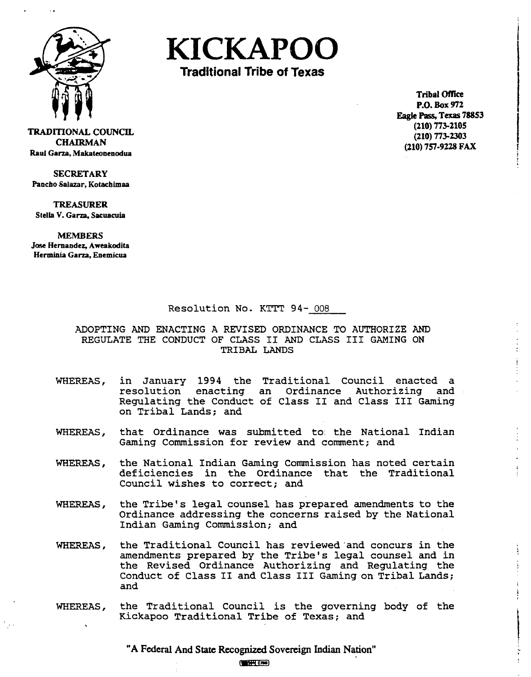

**KICKAPOO** 

**Traditional Tribe of Texas** 

**Tribal Office P.O. Box 972 Eagk** Pass, **Texas 78853 (210) 773-2105 (210) 773-2303 (210) 757-9228 FAX** 

**TRADITIONAL COUNCIL CHAIRMAN Raul Garza, Makateonenodua** 

**SECRETARY Pancho-Salazar, Kotachimaa** 

**TREASURER Stella V. Cana, Sacuacuia** 

**MEMBERS Jose Hernandez., Aweakodita Herminia Cam, Enemicua** 

# Resolution No. **KTTT** 94- 008

ADOPTING AND ENACTING **A** REVISED ORDINANCE TO AUTHORIZE AND REGULATE THE CONDUCT OF CLASS I1 AND CLASS I11 GAMING ON TRIBAL LANDS

- WHEREAS, in January 1994 the Traditional Council enacted a resolution enacting an Ordinance Authorizing and Regulating the Conduct of Class I1 and Class I11 Gaming on Tribal Lands; and
- WHEREAS, that Ordinance was submitted to. the National Indian Gaming Commission for review and comment; and
- WHEREAS, the National Indian Gaming Commission has noted certain deficiencies in the Ordinance that the Traditional Council wishes to correct; and
- WHEREAS, the Tribe's legal counsel has prepared amendments to the Ordinance addressing the concerns raised by the National Indian Gaming Commission; and
- WHEREAS, the Traditional Council has reviewed'and concurs in the amendments prepared by the Tribe's legal counsel and in the Revised Ordinance Authorizing and Regulating the Conduct of Class I1 and Class I11 Gaming on Tribal Lands; and
- WHEREAS, the Traditional Council is the governing body of the Kickapoo Traditional Tribe of Texas; and

**"A Federal And State Recognized Sovereign Indian Nation"**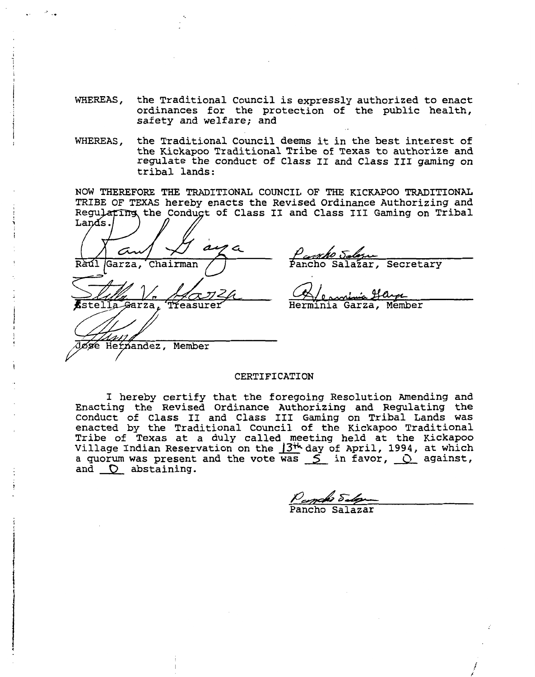- WHEREAS, the Traditional Council is expressly authorized to enact ordinances for the protection of the public health, safety and welfare; and
- WHEREAS, the Traditional Council deems it in the best interest of the Kickapoo Traditional Tribe of Texas to authorize and regulate the conduct of Class I1 and Class I11 gaming on tribal lands :

NOW THEREFORE THE TRADITIONAL COUNCIL OF THE KICKAPOO TRADITIONAL TRIBE OF TEXAS hereby enacts the Revised Ordinance Authorizing and Regulating the Conduct of Class II and Class III Gaming on Tribal

WHEREAS, the Traditional Council is expressly authorical<br>
ordinances for the protection of the pub<br>
safety and welfare, and<br>
wHEREAS, the Traditional Council deems it in the best<br>
the Kickgoo Traditional Tribe of Texas to

Secretary

Herminia Garza, Member

#### CERTIFICATION

I hereby certify that the foregoing Resolution Amending and Enacting the Revised Ordinance Authorizing and Regulating the Conduct of Class I1 and Class I11 Gaming on Tribal Lands was enacted by the Traditional Council of the Kickapoo Traditional Tribe of Texas at a duly called meeting held at the Kickapoo Village Indian Reservation on the  $13^{t}$  day of April, 1994, at which a quorum was present and the vote was  $\leq$  in favor,  $\circ$  against, and  $\bigcirc$  abstaining.

*J~&T&*  Pancho Salazar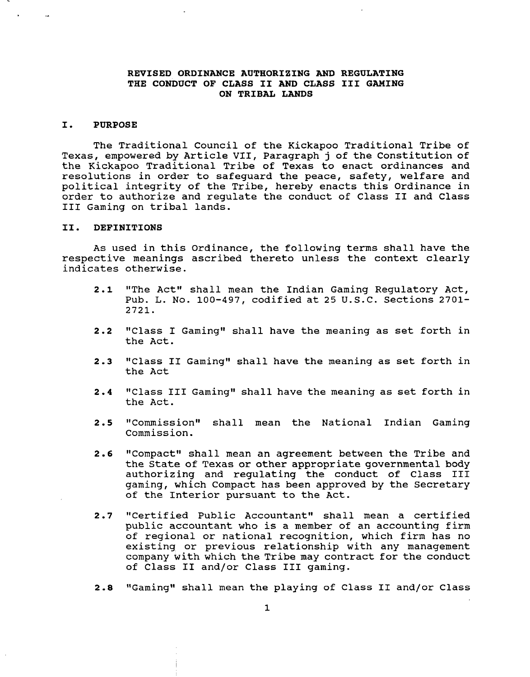# **REVISED ORDINANCE AUTHORIZING AND REGULATING THE CONDUCT OF CLASS I1 AND CLASS I11 GAMING ON TRIBAL LANDS**

#### **I. PURPOSE**

The Traditional Council of the Kickapoo Traditional Tribe of Texas, empowered by Article VII, Paragraph **j** of the Constitution of the Kickapoo Traditional Tribe of Texas to enact ordinances and resolutions in order to safeguard the peace, safety, welfare and political integrity of the Tribe, hereby enacts this Ordinance in order to authorize and regulate the conduct of Class I1 and Class I11 Gaming on tribal lands.

### **11. DEFINITIONS**

As used in this Ordinance, the following terms shall have the respective meanings ascribed thereto unless the context clearly indicates otherwise.

- 2.1 "The Act" shall mean the Indian Gaming Regulatory Act, Pub. L. No. 100-497, codified at 25 U.S.C. Sections 2701- 2721.
- **2.2** "Class I Gaming" shall have the meaning as set forth in the Act.
- **2.3** "Class I1 Gaming" shall have the meaning as set forth in the Act
- 2.4 **"Class III Gaming" shall have the meaning as set forth in** the Act.
- 2.5 "Commission" shall mean the National Indian Gaming Commission.
- **2.6** "Compact" shall mean an agreement between the Tribe and the State of Texas or other appropriate governmental body authorizing and regulating the conduct of Class I11 gaming, which Compact has been approved by the Secretary of the Interior pursuant to the Act.
- 2.7 "Certified Public Accountant" shall mean a certified public accountant who is a member of an accounting firm of regional or national recognition, which firm has no existing or previous relationship with any management company with which the Tribe may contract for the conduct of Class I1 and/or Class I11 gaming.
- 2.8 "Gaming" shall mean the playing of Class II and/or Class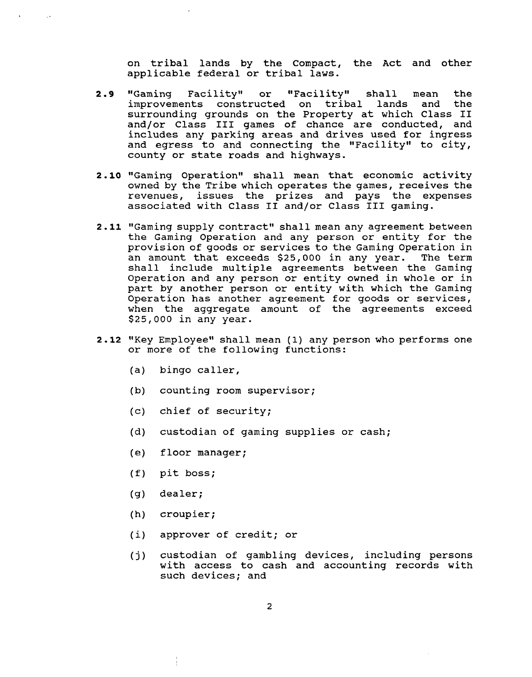on tribal lands by the Compact, the Act and other applicable federal or tribal laws.

- 2.9 "Gaming Facility" or "Facility" shall mean the<br>improvements constructed on tribal lands and the improvements constructed on tribal lands and surrounding grounds on the Property at which Class **I1**  and/or Class **I11** games of chance are conducted, and includes any parking areas and drives used for ingress and egress to and connecting the "Facility" to city, county or state roads and highways.
- **2.10** "Gaming Operationw shall mean that economic activity owned by the Tribe which operates the games, receives the revenues, issues the prizes and pays the expenses associated with Class **I1** and/or Class **I11** gaming.
- 2.11 "Gaming supply contract" shall mean any agreement between the Gaming Operation and any person or entity for the provision of goods or services to the Gaming Operation in an amount that exceeds \$25,000 in any year. The term shall include multiple agreements between the Gaming Operation and any person or entity owned in whole or in part by another person or entity with which the Gaming Operation has another agreement for goods or services, when the aggregate amount of the agreements exceed \$25,000 in any year.
- **2.12** "Key Employee" shall mean (1) any person who performs one or more of the following functions:
	- (a) bingo caller,

 $\sim 10$ 

- (b) counting room supervisor;
- (c) chief of security;
- (d) custodian of gaming supplies or cash;
- (e) floor manager;
- (f) pit boss;
- (g) dealer;
- (h) croupier;
- (i) approver of credit; or
- **(j)** custodian of gambling devices, including persons with access to cash and accounting records with such devices; and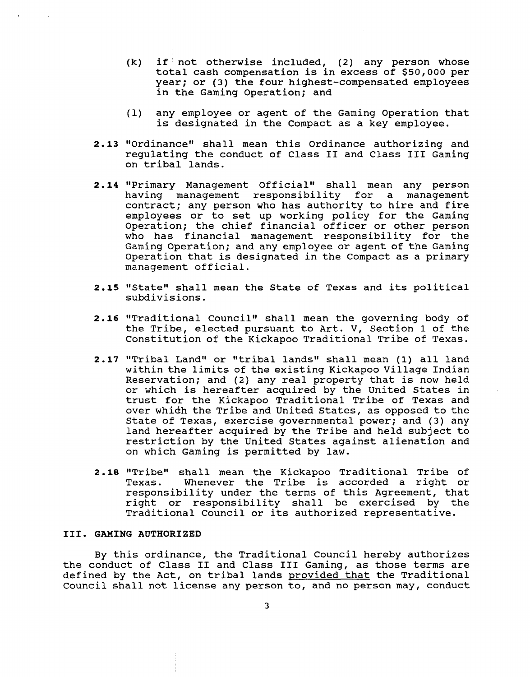- $(k)$  if not otherwise included, (2) any person whose total cash compensation is in excess of \$50,000 per year; or (3) the four highest-compensated employees in the Gaming Operation; and
- (1) any employee or agent of the Gaming Operation that is designated in the Compact as a key employee.
- 2.13 "Ordinance" shall mean this Ordinance authorizing and regulating the conduct of Class **I1** and Class **I11** Gaming on tribal lands.
- 2.14 "Primary Management Official" shall mean any person having management responsibility for a management contract; any person who has authority to hire and fire employees or to set up working policy for the Gaming Operation; the chief financial officer or other person who has financial management responsibility for the Gaming Operation; and any employee or agent of the Gaming Operation that is designated in the Compact as a primary management official.
- **2.15** "State" shall mean the State of Texas and its political subdivisions.
- **2.16** "Traditional Council" shall mean the governing body of the Tribe, elected pursuant to Art. V, Section 1 of the Constitution of the Kickapoo Traditional Tribe of Texas.
- 2.17 "Tribal Land" or "tribal lands" shall mean (1) all land within the limits of the existing Kickapoo Village Indian Reservation; and (2) any real property that is now held or which is hereafter acquired by the United States in trust for the Kickapoo Traditional Tribe of Texas and over whidh the Tribe and United States, as opposed to the State of Texas, exercise governmental power; and (3) any land hereafter acquired by the Tribe and held subject to restriction by the United States against alienation and on which Gaming is permitted by law.
- 2.18 "Tribe" shall mean the Kickapoo Traditional Tribe of<br>Texas. Whenever the Tribe is accorded a right or Whenever the Tribe is accorded a right or responsibility under the terms of this Agreement, that right or responsibility shall be exercised by the Traditional Council or its authorized representative.

# **111. GAMING AUTHORIZED**

By this ordinance, the Traditional Council hereby authorizes the conduct of Class **I1** and Class **I11** Gaming, as those terms are defined by the Act, on tribal lands provided that the Traditional Council shall not license any person to, and no person may, conduct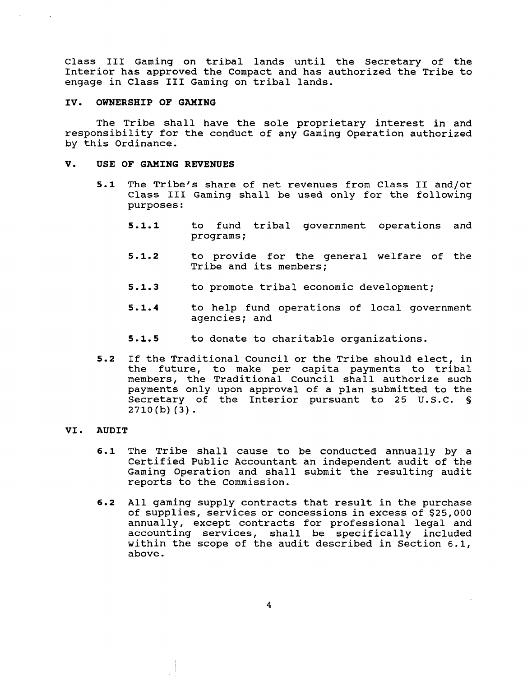Class I11 Gaming on tribal lands until the Secretary of the Interior has approved the Compact and has authorized the Tribe to engage in Class I11 Gaming on tribal lands.

#### **IV. OWNERSHIP OF GAMING**

The Tribe shall have the sole proprietary interest in and responsibility for the conduct of any Gaming Operation authorized by this Ordinance.

#### **V. USE OF GAMING REVENUES**

- **5.1** The Tribe's share of net revenues from Class I1 and/or Class **I11** Gaming shall be used only for the following purposes :
	- **5.1.1** to fund tribal government operations and programs;
	- **5-1.2** to provide for the general welfare of the Tribe and its members;
	- **5.1.3** to promote tribal economic development;
	- **5.1.4** to help fund operations of local government agencies; and
	- **5-1.5** to donate to charitable organizations.
- **5.2** If the Traditional Council or the Tribe should elect, in the future, to make per capita payments to tribal members, the Traditional Council shall authorize such payments only upon approval of a plan submitted to the Secretary of the Interior pursuant to 25 U.S.C. *S*   $2710(b)(3)$ .

### **VI. AUDIT**

- **6.1** The Tribe shall cause to be conducted annually by a Certified Public Accountant an independent audit of the Gaming Operation and shall submit the resulting audit reports to the Commission.
- **6.2** All gaming supply contracts that result in the purchase of supplies, services or concessions in excess of \$25,000 annually, except contracts for professional legal and accounting services, shall be specifically included within the scope of the audit described in Section 6.1, above.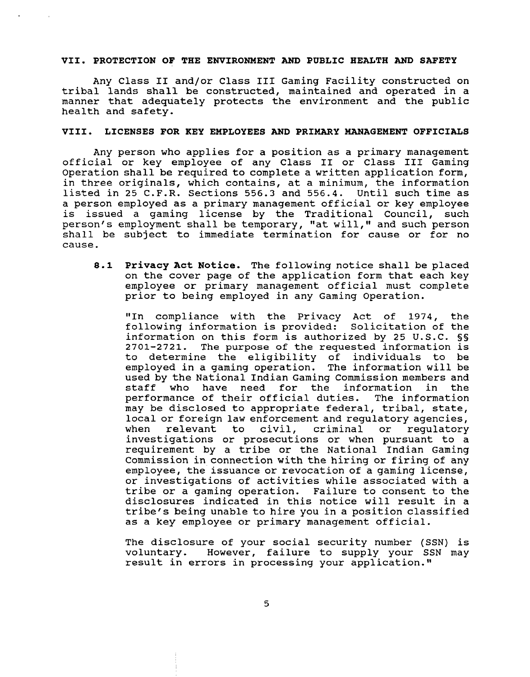#### **VII. PROTECTION OF THE ENVIRONMENT AND PUBLIC HEALTH AND SAFETY**

Any Class I1 and/or Class I11 Gaming Facility constructed on tribal lands shall be constructed, maintained and operated in a manner that adequately protects the environment and the public health and safety.

### **VIII. LICENSES FOR KEY EMPLOYEES AND PRIMARY MANAGEMENT OFFICIALS**

Any person who applies for a position as a primary management official or key employee of any Class I1 or Class I11 Gaming Operation shall be required to complete a written application form, in three originals, which contains, at a minimum, the information listed in **25** C.F.R. Sections **556.3** and **556.4.** Until such time as a person employed as a primary management official or key employee is issued a gaming license by the Traditional Council, such person's employment shall be temporary, "at will," and such person shall be subject to immediate termination for cause or for no cause.

**8.1 Privacy Act Notice.** The following notice shall be placed on the cover page of the application form that each key employee or primary management official must complete prior to being employed in any Gaming Operation.

"In compliance with the Privacy Act of 1974, the following information is provided: Solicitation of the information on this form is authorized by 25 U.S.C. §§ The purpose of the requested information is to determine the eligibility of individuals to be employed in a gaming operation. The information will be used by the National Indian Gaming Commission members and<br>staff who have need for the information in the who have need for the information in the performance of their official duties. The information may be disclosed to appropriate federal, tribal, state, local or foreign law enforcement and regulatory agencies, when relevant to civil, criminal or regulatory investigations or prosecutions or when pursuant to a requirement by a tribe or the National Indian Gaming Commission in connection with the hiring or firing of any employee, the issuance or revocation of a gaming license, or investigations of activities while associated with a tribe or a gaming operation. Failure to consent to the disclosures indicated in this notice will result in a tribe's being unable to hire you in a position classified as a key employee or primary management official.

The disclosure of your social security number (SSN) is<br>voluntary. However, failure to supply your SSN may However, failure to supply your SSN may result in errors in processing your application."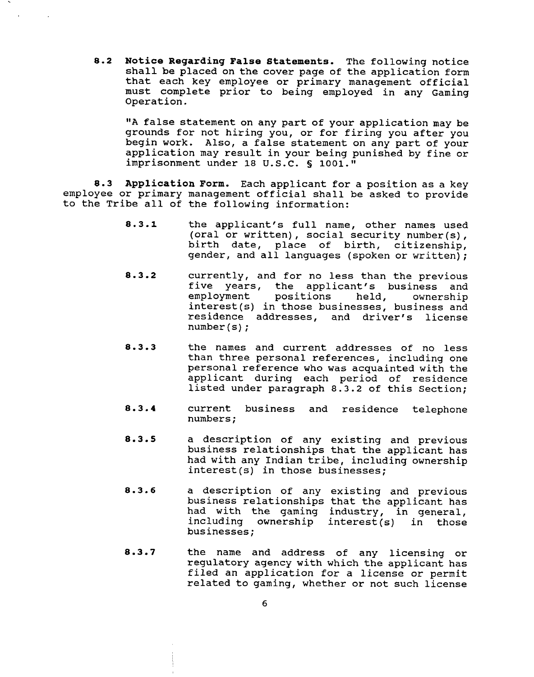**8.2 Notice Regarding False Statements.** The following notice shall be placed on the cover page of the application form that each key employee or primary management official must complete prior to being employed in any Gaming Operation.

"A false statement on any part of your application may be grounds for not hiring you, or for firing you after you begin work. Also, a false statement on any part of your application may result in your being punished by fine or imprisonment under **18** U.S.C. § **1001."** 

**8.3 Application Form.** Each applicant for a position as a key employee or primary management official shall be asked to provide to the Tribe all of the following information:

- **8.3.1** the applicant's full name, other names used (oral or written), social security number(s), birth date, place of birth, citizenship, gender, and all languages (spoken or written);
- **8.3.2** currently, and for no less than the previous five years, the applicant's business and<br>employment positions held, ownership positions interest(s) in those businesses, business and residence addresses, and driver's license number (s) ;
- **8 3 3** the names and current addresses of no less than three personal references, including one personal reference who was acquainted with the applicant during each period of residence listed under paragraph **8.3.2** of this Section;
- **8.3.4** current business and residence telephone<br>numbers;
- **8.3.5 a** description of any existing and previous business relationships that the applicant has had with any Indian tribe, including ownership interest(s) in those businesses;
- $8.3.6$ a description of any existing and previous business relationships that the applicant has had with the gaming industry, in general, including ownership interest(s) in those businesses;
- $8.3.7$ the name and address of any licensing or regulatory agency with which the applicant has filed an application for a license or permit related to gaming, whether or not such license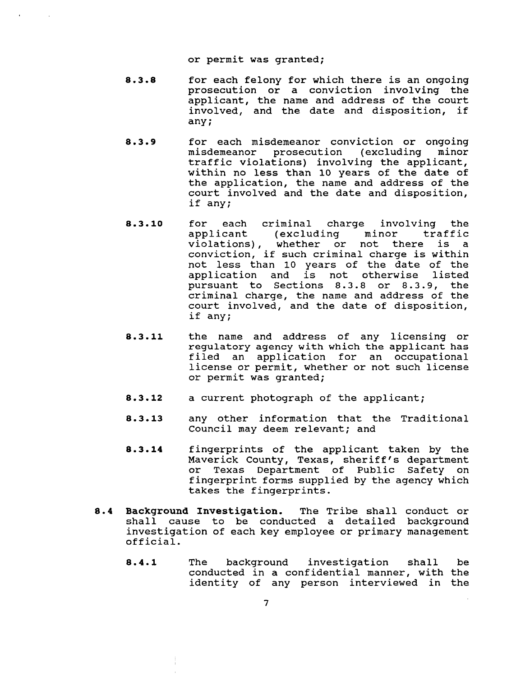or permit was granted;

- $8.3.8$ for each felony for which there is an ongoing prosecution or a conviction involving the applicant, the name and address of the court involved, and the date and disposition, if any;
- $8.3.9$ for each misdemeanor conviction or ongoing misdemeanor prosecution (excluding minor traffic violations) involving the applicant, within no less than 10 years of the date of the application, the name and address of the court involved and the date and disposition, if any;
- **8.3.10** for each criminal charge involving the minor traffic violations), whether or not there is a conviction, if such criminal charge is within not less than 10 years of the date of the application and is not otherwise listed pursuant to Sections 8.3.8 or 8.3.9, the criminal charge, the name and address of the court involved, and the date of disposition, if any;
- **8.3.11** the name and address of any licensing or regulatory agency with which the applicant has filed an application for an occupational license or permit, whether or not such license or permit was granted;
- **8.3.12** a current photograph of the applicant;
- **8.3.13** any other information that the Traditional Council may deem relevant; and
- **8.3.14** fingerprints of the applicant taken by the Maverick County, Texas, sheriff's department or Texas Department of Public Safety on fingerprint forms supplied by the agency which takes the fingerprints.
- **8.4 Background Investigation.** The Tribe shall conduct or shall cause to be conducted a detailed background investigation of each key employee or primary management official.
	- **8.4.1** The background investigation shall be conducted in a confidential manner, with the identity of any person interviewed in the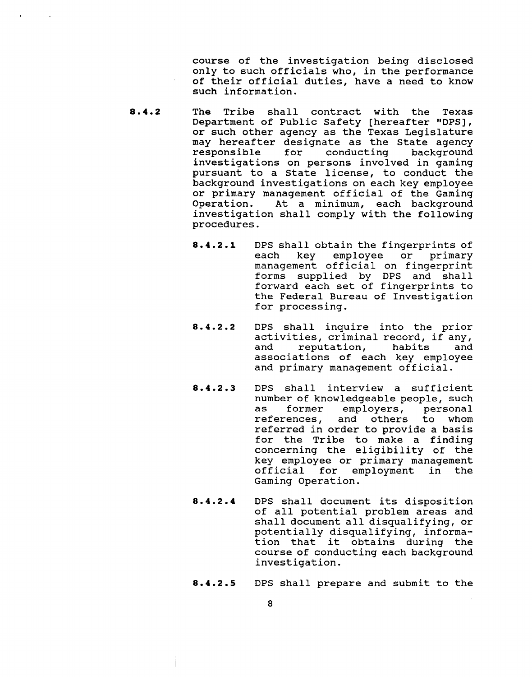course of the investigation being disclosed only to such officials who, in the performance of their official duties, have a need to know such information.

- 8.4.2 The Tribe shall contract with the Texas Department of Public Safety [hereafter "DPS], or such other agency as the Texas Legislature may hereafter designate as the State agency<br>responsible for conducting background for conducting investigations on persons involved in gaming pursuant to a State license, to conduct the background investigations on each key employee or primary management official of the Gaming<br>Operation. At a minimum, each background At a minimum, each background investigation shall comply with the following procedures.
	- 8.4.2 **.1** DPS shall obtain the fingerprints of employee or primary management official on fingerprint forms supplied by DPS and shall forward each set of fingerprints to the Federal Bureau of Investigation for processing.
	- 8.4.2.2 DPS shall inquire into the prior activities, criminal record, if any,<br>and reputation, habits and reputation, habits and associations of each key employee and primary management official.
	- 8.4.2.3 DPS shall interview a sufficient number of knowledgeable people, such<br>as former emplovers, personal as former employers, personal<br>references, and others to whom and others to whom referred in order to provide a basis for the Tribe to make a finding concerning the eligibility of the key employee or primary management official for employment in the Gaming Operation.
	- 8.4.2.4 DPS shall document its disposition of all potential problem areas and shall document all disqualifying, or potentially disqualifying, information that it obtains during the course of conducting each background investigation.
	- 8.4.2.5 DPS shall prepare and submit to the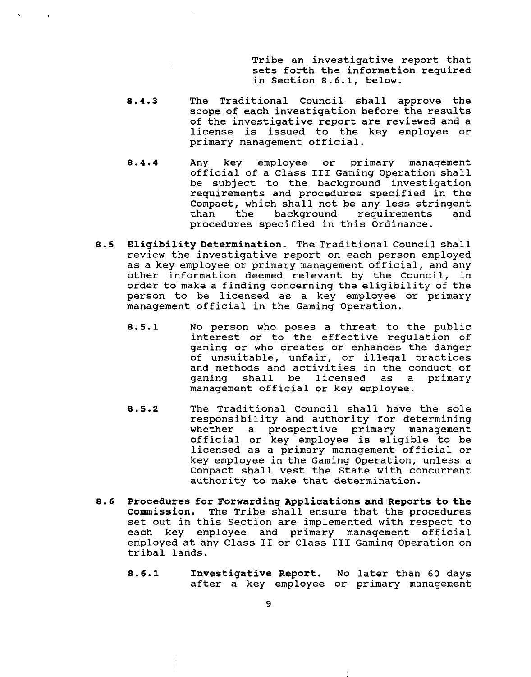Tribe an investigative report that sets forth the information required in Section 8.6.1, below.

- $8.4.3$ The Traditional Council shall approve the scope of each investigation before the results of the investigative report are reviewed and a license is issued to the key employee or primary management official.
- $8.4.4$ Any key employee or primary management official of a Class **I11** Gaming Operation shall be subject to the background investigation requirements and procedures specified in the Compact, which shall not be any less stringent<br>than the background requirements and the background requirements procedures specified in this Ordinance.
- **8.5 Eligibility Determination.** The Traditional Council shall review the investigative report on each person employed as a key employee or primary management official, and any other information deemed relevant by the Council, in order to make a finding concerning the eligibility of the person to be licensed as a key employee or primary management official in the Gaming Operation.
	- **8.5.1** No person who poses a threat to the public interest or to the effective regulation of gaming or who creates or enhances the danger of unsuitable, unfair, or illegal practices and methods and activities in the conduct of qaming shall be licensed as a primary gaming shall be licensed as a management official or key employee.
	- The Traditional Council shall have the sole  $8.5.2$ responsibility and authority for determining whether a prospective primary management official or key employee is eligible to be licensed as a primary management official or key employee in the Gaming Operation, unless a Compact shall vest the State with concurrent authority to make that determination.
- **8.6 Procedures for Forwarding Applications and Reports to the Commission.** The Tribe shall ensure that the procedures set out in this Section are implemented with respect to each key employee and primary management official employed at any Class **I1** or Class **I11** Gaming Operation on tribal lands.
	- **8.6.1 Investigative Report.** No later than 60 days after a key employee or primary management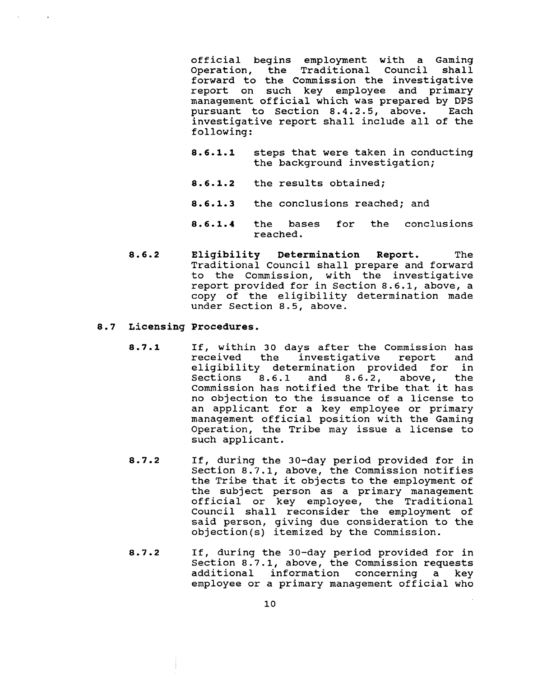official begins employment with a Gaming Operation, the Traditional Council forward to the Commission the investigative report on such key employee and primary management official which was prepared by DPS<br>pursuant to Section 8.4.2.5, above. Each pursuant to Section 8.4.2.5, above. investigative report shall include all of the following:

- **8.6.1.1** steps that were taken in conducting the background investigation;
- **8.6.1.2** the results obtained;
- **8.6.1.3** the conclusions reached; and
- **8.6.1.4** the bases for the conclusions reached.
- $8.6.2$ **Eligibility Determination Report.** The Traditional Council shall prepare and forward to the Commission, with the investigative report provided for in Section 8.6.1, above, a copy of the eligibility determination made under Section 8.5, above.

### **8.7 Licensing Procedures.**

- $8.7.1$ If, within 30 days after the Commission has the investigative eligibility determination provided for in<br>Sections 8.6.1 and 8.6.2, above, the  $8.6.2$ , above, Commission has notified the Tribe that it has no objection to the issuance of a license to an applicant for a key employee or primary management official position with the Gaming Operation, the Tribe may issue a license to such applicant.
- $8.7.2$ If, during the 30-day period provided for in Section 8.7.1, above, the Commission notifies the Tribe that it objects to the employment of the subject person as a primary management official or key employee, the Traditional Council shall reconsider the employment of said person, giving due consideration to the objection(s) itemized by the Commission.
- $8.7.2$ If, during the 30-day period provided for in Section 8.7.1, above, the Commission requests additional information concerning a key employee or a primary management official who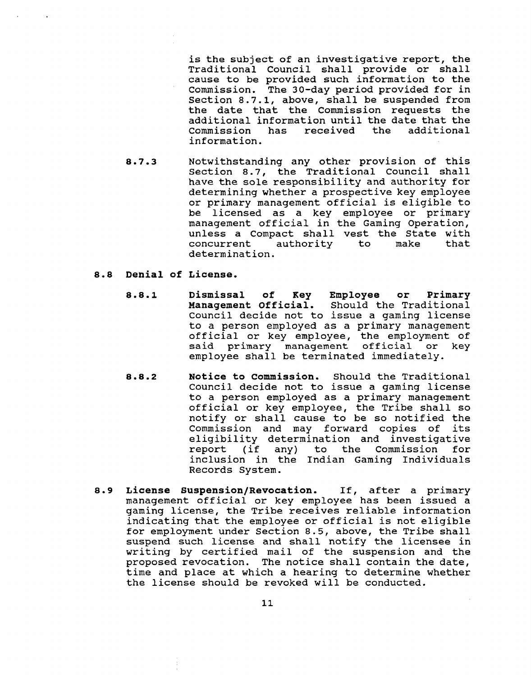is the subject of an investigative report, the Traditional Council shall provide or shall cause to be provided such information to the Commission. The 30-day period provided for in Section 8.7.1, above, shall be suspended from the date that the Commission requests the additional information until the date that the has received the information.

 $8.7.3$ Notwithstanding any other provision of this Section 8.7, the Traditional Council shall have the sole responsibility and authority for determining whether a prospective key employee or primary management official is eligible to be licensed as a key employee or primary management official in the Gaming Operation, unless a Compact shall vest the State with concurrent authority to make that determination.

# **8.8 Denial of License.**

- **8.8.1 Dismissal of Key Employee or Primary**  Should the Traditional Council decide not to issue a gaming license to a person employed as a primary management official or key employee, the employment of said primary management official or key employee shall be terminated immediately.
- $8.8.2$ **Notice to Commission.** Should the Traditional Council decide not to issue a gaming license to a person employed as a primary management official or key employee, the Tribe shall so notify or shall cause to be so notified the Commission and may forward copies of its eligibility determination and investigative<br>report (if any) to the Commission for report (if any) to the Commission for inclusion in the Indian Gaming Individuals Records System.
- **8.9 License Suspension/Revocation.** If, after a primary management official or key employee has been issued a gaming license, the Tribe receives reliable information indicating that the employee or official is not eligible for employment under Section 8.5, above, the Tribe shall suspend such license and shall notify the licensee in writing by certified mail of the suspension and the proposed revocation. The notice shall contain the date, time and place at which a hearing to determine whether the license should be revoked will be conducted.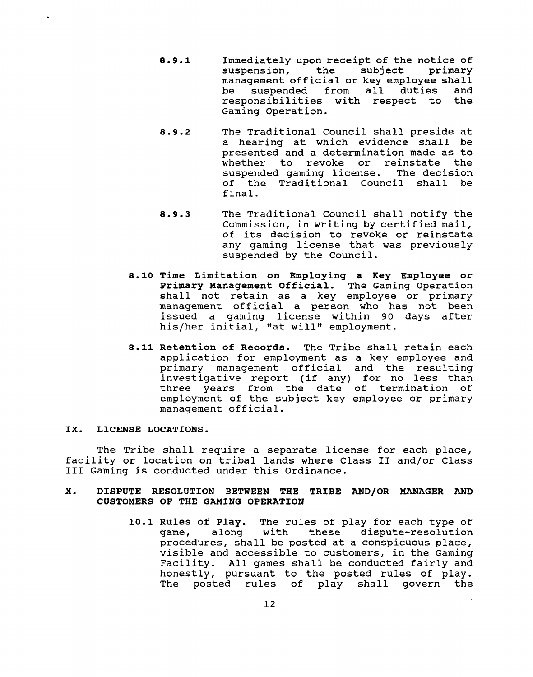- **8.9.1** Immediately upon receipt of the notice of suspension, the management official or key employee shall<br>be suspended from all duties and suspended from all duties and<br>onsibilities with respect to the responsibilities with respect to Gaming Operation.
- 8.9.2 The Traditional Council shall preside at a hearing at which evidence shall be presented and a determination made as to whether to revoke or reinstate the suspended gaming license. The decision of the Traditional Council shall be final.
- **8.9.3** The Traditional Council shall notify the Commission, in writing by certified mail, of its decision to revoke or reinstate any gaming license that was previously suspended by the Council.
- **8.10 Time Limitation on Employing a Key Employee or Primary Management Official.** The Gaming Operation shall not retain as a key employee or primary management official a person who has not been issued a gaming license within 90 days after his/her initial, "at will" employment.
- **8.11 Retention of Records. The** Tribe shall retain each application for employment as a key employee and primary management official and the resulting investigative report (if any) for no less than three years from the date of termination of employment of the subject key employee or primary management official.

### **IX. LICENSE LOCATIONS.**

The Tribe shall require a separate license for each place, facility or location on tribal lands where Class **I1** and/or Class **I11** Gaming is conducted under this Ordinance.

# **X. DISPUTE RESOLUTION BETWEEN THE TRIBE AND/OR MANAGER AND CUSTOMERS OF THE GAMING OPERATION**

**10.1 Rules of Play.** The rules of play for each type of game, along with these dispute-resolution procedures, shall be posted at a conspicuous place, visible and accessible to customers, in the Gaming Facility. All games shall be conducted fairly and honestly, pursuant to the posted rules of play. The posted rules of play shall govern the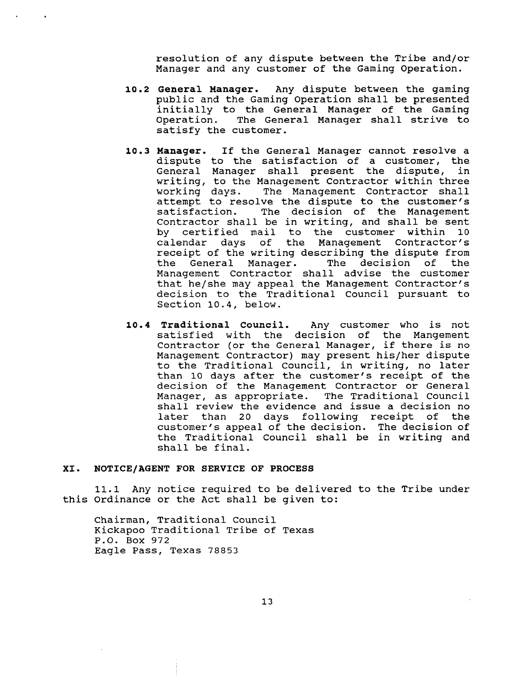resolution of any dispute between the Tribe and/or Manager and any customer of the Gaming Operation.

- **10.2 General Manager.** Any dispute between the gaming public and the Gaming Operation shall be presented initially to the General Manager of the Gaming Operation. The General Manager shall strive to satisfy the customer.
- **10.3 Manager.** If the General Manager cannot resolve a dispute to the satisfaction of a customer, the<br>General Manager shall present the dispute, in General Manager shall present the dispute, writing, to the Management Contractor within three<br>working days. The Management Contractor shall The Management Contractor shall attempt to resolve the dispute to the customer's<br>satisfaction. The decision of the Management The decision of the Management Contractor shall be in writing, and shall be sent by certified mail to the customer within calendar days of the Management Contractor's receipt of the writing describing the dispute from<br>the General Manager. The decision of the The decision of Management Contractor shall advise the customer that he/she may appeal the Management Contractor's decision to the Traditional Council pursuant to Section 10.4, below.
- **10.4 Traditional Council.** Any customer who is not satisfied with the decision of the Mangement Contractor (or the General Manager, if there is no Management Contractor) may present his/her dispute to the Traditional Council, in writing, no later than 10 days after the customer's receipt of the decision of the Management Contractor or General Manager, as appropriate. The Traditional Council shall review the evidence and issue a decision no later than 20 days following receipt of the customer's appeal of the decision. The decision of the Traditional Council shall be in writing and shall be final.

# **XI. NOTICE/AGENT FOR SERVICE OF PROCESS**

11.1 Any notice required to be delivered to the Tribe under this Ordinance or the Act shall be given to:

Chairman, Traditional Council Kickapoo Traditional Tribe of Texas P.O. Box 972 Eagle Pass, Texas 78853